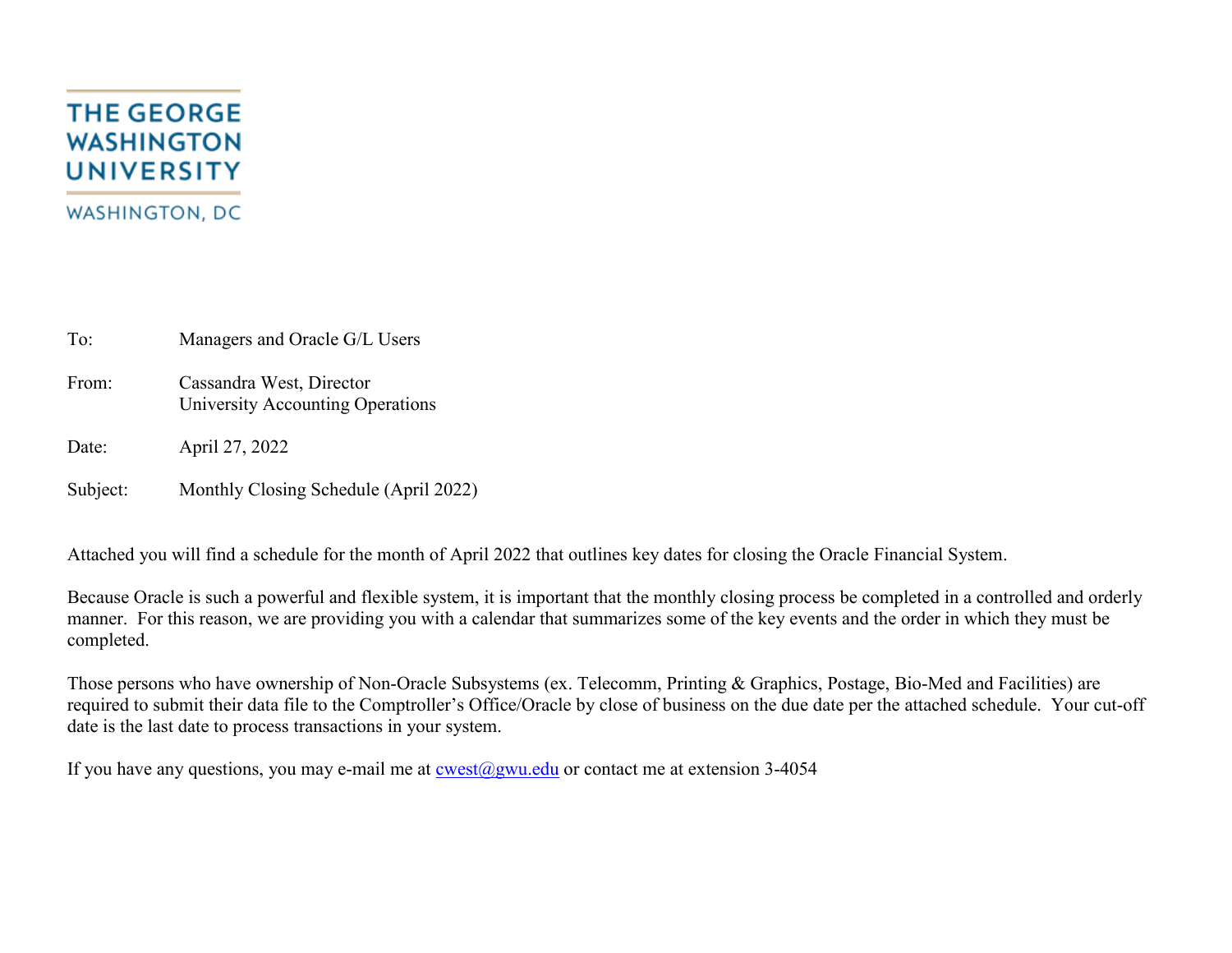# **THE GEORGE WASHINGTON UNIVERSITY WASHINGTON, DC**

To: Managers and Oracle G/L Users

From: Cassandra West, Director University Accounting Operations

Date: April 27, 2022

Subject: Monthly Closing Schedule (April 2022)

Attached you will find a schedule for the month of April 2022 that outlines key dates for closing the Oracle Financial System.

Because Oracle is such a powerful and flexible system, it is important that the monthly closing process be completed in a controlled and orderly manner. For this reason, we are providing you with a calendar that summarizes some of the key events and the order in which they must be completed.

Those persons who have ownership of Non-Oracle Subsystems (ex. Telecomm, Printing & Graphics, Postage, Bio-Med and Facilities) are required to submit their data file to the Comptroller's Office/Oracle by close of business on the due date per the attached schedule. Your cut-off date is the last date to process transactions in your system.

If you have any questions, you may e-mail me at  $\cos(\omega)$ gwu.edu or contact me at extension 3-4054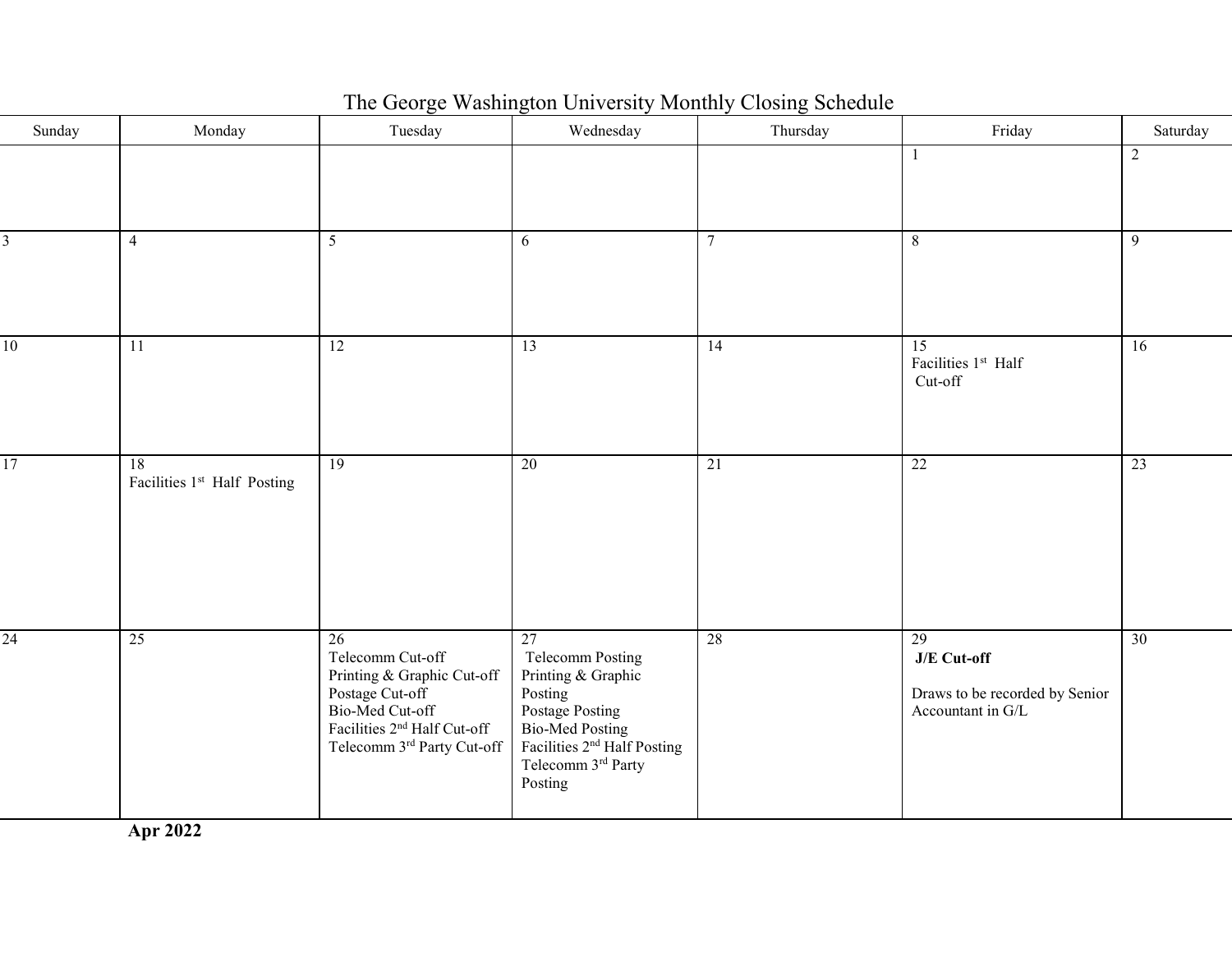| Sunday          | Monday                                        | Tuesday                                                                                                                                                                          | Wednesday                                                                                                                                                                        | Thursday        | Friday                                                                   | Saturday       |
|-----------------|-----------------------------------------------|----------------------------------------------------------------------------------------------------------------------------------------------------------------------------------|----------------------------------------------------------------------------------------------------------------------------------------------------------------------------------|-----------------|--------------------------------------------------------------------------|----------------|
|                 |                                               |                                                                                                                                                                                  |                                                                                                                                                                                  |                 | 1                                                                        | $\overline{2}$ |
| 3               | $\overline{4}$                                | $5\overline{)}$                                                                                                                                                                  | 6                                                                                                                                                                                | $\tau$          | 8                                                                        | 9              |
| 10              | $\overline{11}$                               | 12                                                                                                                                                                               | 13                                                                                                                                                                               | 14              | $\overline{15}$<br>Facilities 1st Half<br>Cut-off                        | 16             |
| $\overline{17}$ | 18<br>Facilities 1 <sup>st</sup> Half Posting | $\overline{19}$                                                                                                                                                                  | $\overline{20}$                                                                                                                                                                  | $\overline{21}$ | 22                                                                       | 23             |
| $\overline{24}$ | 25                                            | $\overline{26}$<br>Telecomm Cut-off<br>Printing & Graphic Cut-off<br>Postage Cut-off<br>Bio-Med Cut-off<br>Facilities 2 <sup>nd</sup> Half Cut-off<br>Telecomm 3rd Party Cut-off | 27<br>Telecomm Posting<br>Printing & Graphic<br>Posting<br>Postage Posting<br><b>Bio-Med Posting</b><br>Facilities 2 <sup>nd</sup> Half Posting<br>Telecomm 3rd Party<br>Posting | 28              | 29<br>J/E Cut-off<br>Draws to be recorded by Senior<br>Accountant in G/L | 30             |

# The George Washington University Monthly Closing Schedule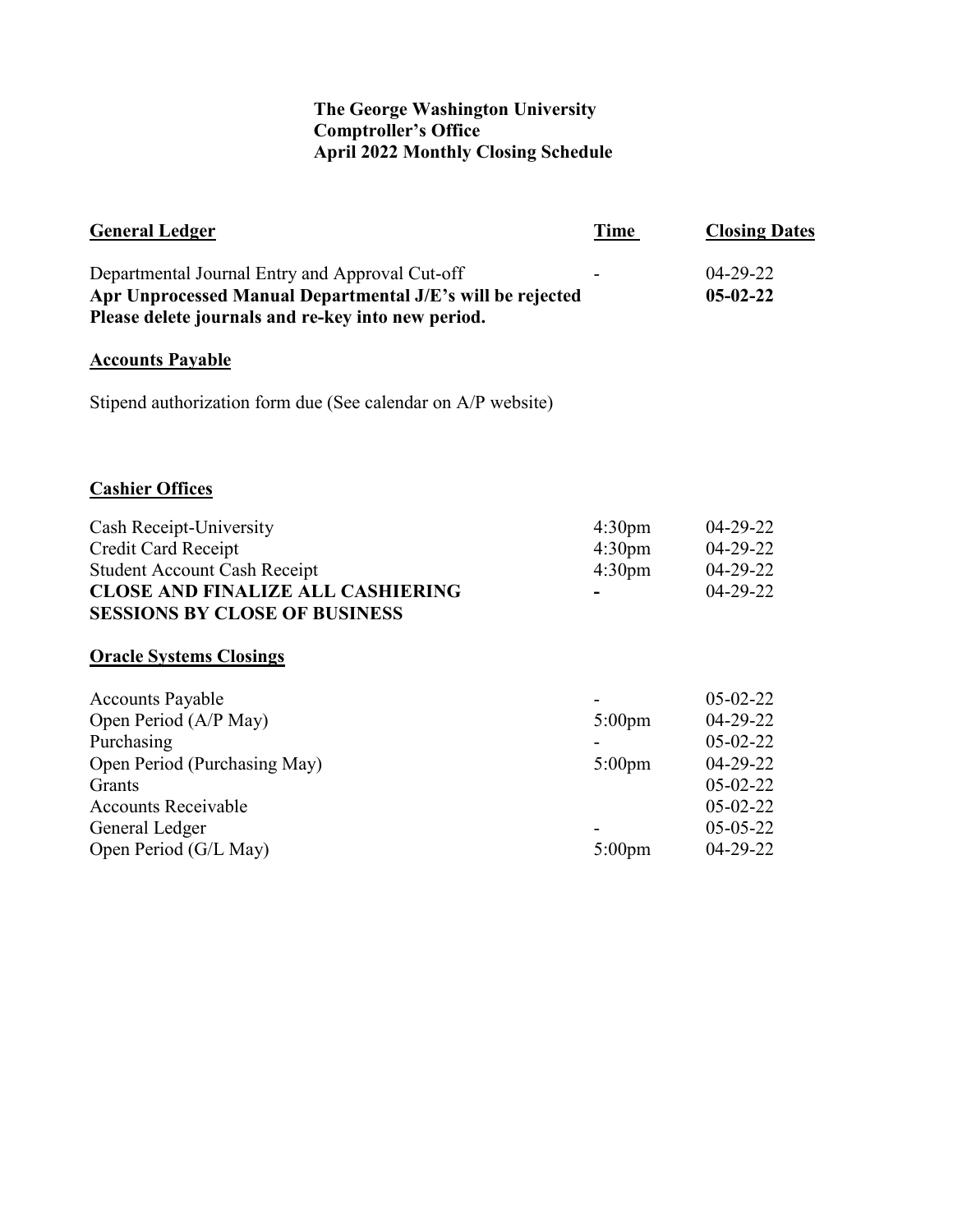## **The George Washington University Comptroller's Office April 2022 Monthly Closing Schedule**

| <b>General Ledger</b>                                                                                                                                               | <b>Time</b>                              | <b>Closing Dates</b>         |
|---------------------------------------------------------------------------------------------------------------------------------------------------------------------|------------------------------------------|------------------------------|
| Departmental Journal Entry and Approval Cut-off<br>Apr Unprocessed Manual Departmental J/E's will be rejected<br>Please delete journals and re-key into new period. |                                          | $04 - 29 - 22$<br>$05-02-22$ |
| <b>Accounts Payable</b>                                                                                                                                             |                                          |                              |
| Stipend authorization form due (See calendar on A/P website)                                                                                                        |                                          |                              |
| <b>Cashier Offices</b>                                                                                                                                              |                                          |                              |
| Cash Receipt-University                                                                                                                                             | 4:30 <sub>pm</sub>                       | 04-29-22                     |
| Credit Card Receipt<br><b>Student Account Cash Receipt</b>                                                                                                          | 4:30 <sub>pm</sub><br>4:30 <sub>pm</sub> | 04-29-22<br>$04 - 29 - 22$   |
| <b>CLOSE AND FINALIZE ALL CASHIERING</b><br><b>SESSIONS BY CLOSE OF BUSINESS</b>                                                                                    |                                          | $04 - 29 - 22$               |
| <b>Oracle Systems Closings</b>                                                                                                                                      |                                          |                              |
| <b>Accounts Payable</b>                                                                                                                                             |                                          | $05 - 02 - 22$               |
| Open Period (A/P May)                                                                                                                                               | $5:00 \text{pm}$                         | 04-29-22                     |
| Purchasing                                                                                                                                                          |                                          | $05-02-22$                   |
| Open Period (Purchasing May)                                                                                                                                        | $5:00 \text{pm}$                         | 04-29-22                     |
| Grants                                                                                                                                                              |                                          | $05-02-22$                   |
| <b>Accounts Receivable</b>                                                                                                                                          |                                          | $05 - 02 - 22$               |
| General Ledger<br>Open Period (G/L May)                                                                                                                             | $5:00 \text{pm}$                         | 05-05-22<br>04-29-22         |
|                                                                                                                                                                     |                                          |                              |